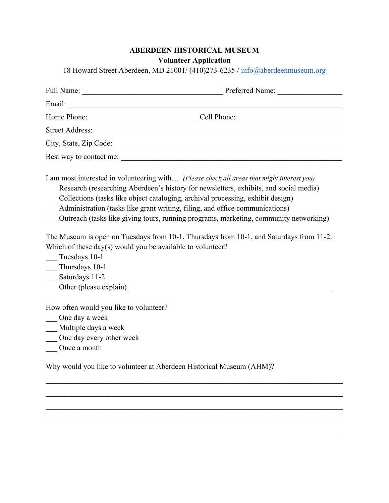## **ABERDEEN HISTORICAL MUSEUM Volunteer Application**

18 Howard Street Aberdeen, MD 21001/ (410)273-6235 / info@aberdeenmuseum.org

| Full Name:              | Preferred Name: |  |  |  |
|-------------------------|-----------------|--|--|--|
| Email:                  |                 |  |  |  |
| Home Phone:             |                 |  |  |  |
| Street Address:         |                 |  |  |  |
| City, State, Zip Code:  |                 |  |  |  |
| Best way to contact me: |                 |  |  |  |

I am most interested in volunteering with… *(Please check all areas that might interest you)*

- Research (researching Aberdeen's history for newsletters, exhibits, and social media)
- \_\_\_ Collections (tasks like object cataloging, archival processing, exhibit design)
- Administration (tasks like grant writing, filing, and office communications)
- \_\_\_ Outreach (tasks like giving tours, running programs, marketing, community networking)

The Museum is open on Tuesdays from 10-1, Thursdays from 10-1, and Saturdays from 11-2. Which of these day(s) would you be available to volunteer?

- \_\_\_ Tuesdays 10-1
- \_\_\_ Thursdays 10-1
- \_\_\_ Saturdays 11-2
- Other (please explain)

How often would you like to volunteer?

- \_\_\_ One day a week
- \_\_\_ Multiple days a week
- \_\_\_ One day every other week
- \_\_\_ Once a month

Why would you like to volunteer at Aberdeen Historical Museum (AHM)?